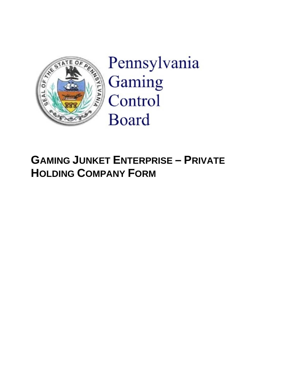

Pennsylvania Gaming Control **Board** 

# **GAMING JUNKET ENTERPRISE – PRIVATE HOLDING COMPANY FORM**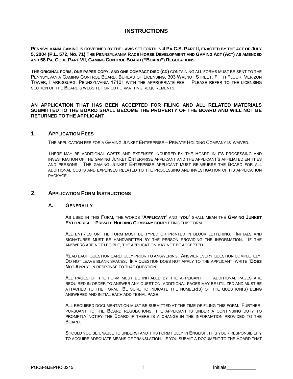## **INSTRUCTIONS**

**PENNSYLVANIA GAMING IS GOVERNED BY THE LAWS SET FORTH IN 4 PA.C.S. PART II, ENACTED BY THE ACT OF JULY 5, 2004 (P.L. 572, NO. 71) THE PENNSYLVANIA RACE HORSE DEVELOPMENT AND GAMING ACT (ACT) AS AMENDED AND 58 PA. CODE PART VII, GAMING CONTROL BOARD ("BOARD") REGULATIONS.**

**THE ORIGINAL FORM, ONE PAPER COPY, AND ONE COMPACT DISC (CD)** CONTAINING ALL FORMS MUST BE SENT TO THE PENNSYLVANIA GAMING CONTROL BOARD, BUREAU OF LICENSING, 303 WALNUT STREET, FIFTH FLOOR, VERIZON TOWER, HARRISBURG, PENNSYLVANIA 17101 WITH THE APPROPRIATE FEE. PLEASE REFER TO THE LICENSING SECTION OF THE BOARD'S WEBSITE FOR CD FORMATTING REQUIREMENTS.

#### **AN APPLICATION THAT HAS BEEN ACCEPTED FOR FILING AND ALL RELATED MATERIALS SUBMITTED TO THE BOARD SHALL BECOME THE PROPERTY OF THE BOARD AND WILL NOT BE RETURNED TO THE APPLICANT.**

### **1. APPLICATION FEES**

THE APPLICATION FEE FOR A GAMING JUNKET ENTERPRISE – PRIVATE HOLDING COMPANY IS WAIVED.

THERE MAY BE ADDITIONAL COSTS AND EXPENSES INCURRED BY THE BOARD IN ITS PROCESSING AND INVESTIGATION OF THE GAMING JUNKET ENTERPRISE APPLICANT AND THE APPLICANT'S AFFILIATED ENTITIES AND PERSONS. THE GAMING JUNKET ENTERPRISE APPLICANT MUST REIMBURSE THE BOARD FOR ALL ADDITIONAL COSTS AND EXPENSES RELATED TO THE PROCESSING AND INVESTIGATION OF ITS APPLICATION PACKAGE.

#### **2. APPLICATION FORM INSTRUCTIONS**

#### **A. GENERALLY**

AS USED IN THIS FORM, THE WORDS "**APPLICANT**" AND "**YOU**" SHALL MEAN THE **GAMING JUNKET ENTERPRISE – PRIVATE HOLDING COMPANY** COMPLETING THIS FORM.

ALL ENTRIES ON THE FORM MUST BE TYPED OR PRINTED IN BLOCK LETTERING. INITIALS AND SIGNATURES MUST BE HANDWRITTEN BY THE PERSON PROVIDING THE INFORMATION. IF THE ANSWERS ARE NOT LEGIBLE, THE APPLICATION MAY NOT BE ACCEPTED.

READ EACH QUESTION CAREFULLY PRIOR TO ANSWERING. ANSWER EVERY QUESTION COMPLETELY. DO NOT LEAVE BLANK SPACES. IF A QUESTION DOES NOT APPLY TO THE APPLICANT, WRITE "**DOES NOT APPLY**" IN RESPONSE TO THAT QUESTION.

ALL PAGES OF THE FORM MUST BE INITIALED BY THE APPLICANT. IF ADDITIONAL PAGES ARE REQUIRED IN ORDER TO ANSWER ANY QUESTION, ADDITIONAL PAGES MAY BE UTILIZED AND MUST BE ATTACHED TO THE FORM. BE SURE TO INDICATE THE NUMBER(S) OF THE QUESTION(S) BEING ANSWERED AND INITIAL EACH ADDITIONAL PAGE.

ALL REQUIRED DOCUMENTATION MUST BE SUBMITTED AT THE TIME OF FILING THIS FORM. FURTHER, PURSUANT TO THE BOARD REGULATIONS, THE APPLICANT IS UNDER A CONTINUING DUTY TO PROMPTLY NOTIFY THE BOARD IF THERE IS A CHANGE IN THE INFORMATION PROVIDED TO THE BOARD.

SHOULD YOU BE UNABLE TO UNDERSTAND THIS FORM FULLY IN ENGLISH, IT IS YOUR RESPONSIBILITY TO ACQUIRE ADEQUATE MEANS OF TRANSLATION. IF YOU SUBMIT A DOCUMENT TO THE BOARD THAT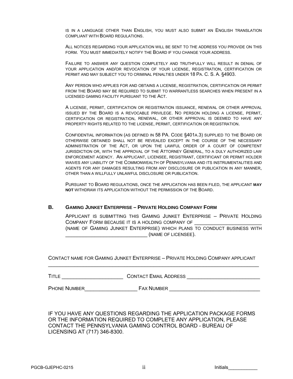IS IN A LANGUAGE OTHER THAN ENGLISH, YOU MUST ALSO SUBMIT AN ENGLISH TRANSLATION COMPLIANT WITH BOARD REGULATIONS.

ALL NOTICES REGARDING YOUR APPLICATION WILL BE SENT TO THE ADDRESS YOU PROVIDE ON THIS FORM. YOU MUST IMMEDIATELY NOTIFY THE BOARD IF YOU CHANGE YOUR ADDRESS.

FAILURE TO ANSWER ANY QUESTION COMPLETELY AND TRUTHFULLY WILL RESULT IN DENIAL OF YOUR APPLICATION AND/OR REVOCATION OF YOUR LICENSE, REGISTRATION, CERTIFICATION OR PERMIT AND MAY SUBJECT YOU TO CRIMINAL PENALTIES UNDER 18 PA. C. S. A. §4903.

ANY PERSON WHO APPLIES FOR AND OBTAINS A LICENSE, REGISTRATION, CERTIFICATION OR PERMIT FROM THE BOARD MAY BE REQUIRED TO SUBMIT TO WARRANTLESS SEARCHES WHEN PRESENT IN A LICENSED GAMING FACILITY PURSUANT TO THE ACT.

A LICENSE, PERMIT, CERTIFICATION OR REGISTRATION ISSUANCE, RENEWAL OR OTHER APPROVAL ISSUED BY THE BOARD IS A REVOCABLE PRIVILEGE. NO PERSON HOLDING A LICENSE, PERMIT, CERTIFICATION OR REGISTRATION, RENEWAL, OR OTHER APPROVAL IS DEEMED TO HAVE ANY PROPERTY RIGHTS RELATED TO THE LICENSE, PERMIT, CERTIFICATION OR REGISTRATION.

CONFIDENTIAL INFORMATION (AS DEFINED IN 58 PA. CODE §401A.3) SUPPLIED TO THE BOARD OR OTHERWISE OBTAINED SHALL NOT BE REVEALED EXCEPT IN THE COURSE OF THE NECESSARY ADMINISTRATION OF THE ACT, OR UPON THE LAWFUL ORDER OF A COURT OF COMPETENT JURISDICTION OR, WITH THE APPROVAL OF THE ATTORNEY GENERAL, TO A DULY AUTHORIZED LAW ENFORCEMENT AGENCY. AN APPLICANT, LICENSEE, REGISTRANT, CERTIFICANT OR PERMIT HOLDER WAIVES ANY LIABILITY OF THE COMMONWEALTH OF PENNSYLVANIA AND ITS INSTRUMENTALITIES AND AGENTS FOR ANY DAMAGES RESULTING FROM ANY DISCLOSURE OR PUBLICATION IN ANY MANNER, OTHER THAN A WILLFULLY UNLAWFUL DISCLOSURE OR PUBLICATION.

PURSUANT TO BOARD REGULATIONS, ONCE THE APPLICATION HAS BEEN FILED, THE APPLICANT **MAY NOT** WITHDRAW ITS APPLICATION WITHOUT THE PERMISSION OF THE BOARD.

#### **B. GAMING JUNKET ENTERPRISE – PRIVATE HOLDING COMPANY FORM**

APPLICANT IS SUBMITTING THIS GAMING JUNKET ENTERPRISE – PRIVATE HOLDING COMPANY FORM BECAUSE IT IS A HOLDING COMPANY OF (NAME OF GAMING JUNKET ENTERPRISE) WHICH PLANS TO CONDUCT BUSINESS WITH  $(NAME OF LICENSEE)$ .

CONTACT NAME FOR GAMING JUNKET ENTERPRISE – PRIVATE HOLDING COMPANY APPLICANT \_\_\_\_\_\_\_\_\_\_\_\_\_\_\_\_\_\_\_\_\_\_\_\_\_\_\_\_\_\_\_\_\_\_\_\_\_\_\_\_\_\_\_\_\_\_\_\_\_\_\_\_\_\_\_\_\_\_\_\_\_\_\_\_\_\_\_\_\_\_\_\_

TITLE \_\_\_\_\_\_\_\_\_\_\_\_\_\_\_\_\_\_\_\_\_ CONTACT EMAIL ADDRESS \_\_\_\_\_\_\_\_\_\_\_\_\_\_\_\_\_\_\_\_\_\_\_\_\_

PHONE NUMBER\_\_\_\_\_\_\_\_\_\_\_\_\_\_\_\_\_\_ FAX NUMBER \_\_\_\_\_\_\_\_\_\_\_\_\_\_\_\_\_\_\_\_\_\_\_\_\_\_\_\_\_\_\_

IF YOU HAVE ANY QUESTIONS REGARDING THE APPLICATION PACKAGE FORMS OR THE INFORMATION REQUIRED TO COMPLETE ANY APPLICATION, PLEASE CONTACT THE PENNSYLVANIA GAMING CONTROL BOARD - BUREAU OF LICENSING AT (717) 346-8300.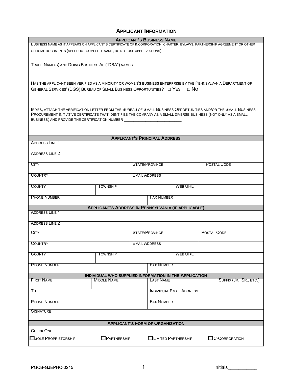## **APPLICANT INFORMATION**

| <b>APPLICANT'S BUSINESS NAME</b><br>BUSINESS NAME AS IT APPEARS ON APPLICANT'S CERTIFICATE OF INCORPORATION, CHARTER, BYLAWS, PARTNERSHIP AGREEMENT OR OTHER                                                                        |                                                                        |                      |                                             |                                 |                    |                         |  |
|-------------------------------------------------------------------------------------------------------------------------------------------------------------------------------------------------------------------------------------|------------------------------------------------------------------------|----------------------|---------------------------------------------|---------------------------------|--------------------|-------------------------|--|
|                                                                                                                                                                                                                                     | OFFICIAL DOCUMENTS (SPELL OUT COMPLETE NAME, DO NOT USE ABBREVIATIONS) |                      |                                             |                                 |                    |                         |  |
|                                                                                                                                                                                                                                     |                                                                        |                      |                                             |                                 |                    |                         |  |
| TRADE NAME(S) AND DOING BUSINESS AS ("DBA") NAMES                                                                                                                                                                                   |                                                                        |                      |                                             |                                 |                    |                         |  |
|                                                                                                                                                                                                                                     |                                                                        |                      |                                             |                                 |                    |                         |  |
| HAS THE APPLICANT BEEN VERIFIED AS A MINORITY OR WOMEN'S BUSINESS ENTERPRISE BY THE PENNSYLVANIA DEPARTMENT OF<br>GENERAL SERVICES' (DGS) BUREAU OF SMALL BUSINESS OPPORTUNITIES? $\Box$ YES $\Box$ NO                              |                                                                        |                      |                                             |                                 |                    |                         |  |
|                                                                                                                                                                                                                                     |                                                                        |                      |                                             |                                 |                    |                         |  |
|                                                                                                                                                                                                                                     |                                                                        |                      |                                             |                                 |                    |                         |  |
| IF YES, ATTACH THE VERIFICATION LETTER FROM THE BUREAU OF SMALL BUSINESS OPPORTUNITIES AND/OR THE SMALL BUSINESS<br>PROCUREMENT INITIATIVE CERTIFICATE THAT IDENTIFIES THE COMPANY AS A SMALL DIVERSE BUSINESS (NOT ONLY AS A SMALL |                                                                        |                      |                                             |                                 |                    |                         |  |
| BUSINESS) AND PROVIDE THE CERTIFICATION NUMBER ___________                                                                                                                                                                          |                                                                        |                      |                                             |                                 |                    |                         |  |
|                                                                                                                                                                                                                                     |                                                                        |                      |                                             |                                 |                    |                         |  |
| <b>ADDRESS LINE 1</b>                                                                                                                                                                                                               |                                                                        |                      | <b>APPLICANT'S PRINCIPAL ADDRESS</b>        |                                 |                    |                         |  |
|                                                                                                                                                                                                                                     |                                                                        |                      |                                             |                                 |                    |                         |  |
| <b>ADDRESS LINE 2</b>                                                                                                                                                                                                               |                                                                        |                      |                                             |                                 |                    |                         |  |
| <b>CITY</b>                                                                                                                                                                                                                         |                                                                        |                      | <b>STATE/PROVINCE</b><br><b>POSTAL CODE</b> |                                 |                    |                         |  |
| <b>COUNTRY</b>                                                                                                                                                                                                                      |                                                                        | <b>EMAIL ADDRESS</b> |                                             |                                 |                    |                         |  |
| <b>COUNTY</b>                                                                                                                                                                                                                       | <b>TOWNSHIP</b>                                                        | <b>WEB URL</b>       |                                             |                                 |                    |                         |  |
|                                                                                                                                                                                                                                     |                                                                        |                      |                                             |                                 |                    |                         |  |
| <b>PHONE NUMBER</b>                                                                                                                                                                                                                 |                                                                        |                      | <b>FAX NUMBER</b>                           |                                 |                    |                         |  |
| <b>ADDRESS LINE 1</b>                                                                                                                                                                                                               | <b>APPLICANT'S ADDRESS IN PENNSYLVANIA (IF APPLICABLE)</b>             |                      |                                             |                                 |                    |                         |  |
|                                                                                                                                                                                                                                     |                                                                        |                      |                                             |                                 |                    |                         |  |
| <b>ADDRESS LINE 2</b>                                                                                                                                                                                                               |                                                                        |                      |                                             |                                 |                    |                         |  |
| <b>CITY</b>                                                                                                                                                                                                                         |                                                                        |                      | <b>STATE/PROVINCE</b>                       |                                 | <b>POSTAL CODE</b> |                         |  |
| <b>COUNTRY</b>                                                                                                                                                                                                                      |                                                                        |                      | <b>EMAIL ADDRESS</b>                        |                                 |                    |                         |  |
| <b>COUNTY</b>                                                                                                                                                                                                                       | Township                                                               |                      |                                             | <b>WEB URL</b>                  |                    |                         |  |
| <b>PHONE NUMBER</b>                                                                                                                                                                                                                 |                                                                        |                      | <b>FAX NUMBER</b>                           |                                 |                    |                         |  |
|                                                                                                                                                                                                                                     | INDIVIDUAL WHO SUPPLIED INFORMATION IN THE APPLICATION                 |                      |                                             |                                 |                    |                         |  |
| <b>FIRST NAME</b>                                                                                                                                                                                                                   | <b>MIDDLE NAME</b>                                                     |                      | <b>LAST NAME</b>                            |                                 |                    | SUFFIX (JR., SR., ETC.) |  |
| Title                                                                                                                                                                                                                               |                                                                        |                      |                                             | <b>INDIVIDUAL EMAIL ADDRESS</b> |                    |                         |  |
| <b>PHONE NUMBER</b><br><b>FAX NUMBER</b>                                                                                                                                                                                            |                                                                        |                      |                                             |                                 |                    |                         |  |
|                                                                                                                                                                                                                                     |                                                                        |                      |                                             |                                 |                    |                         |  |
| <b>SIGNATURE</b>                                                                                                                                                                                                                    |                                                                        |                      |                                             |                                 |                    |                         |  |
|                                                                                                                                                                                                                                     |                                                                        |                      | <b>APPLICANT'S FORM OF ORGANIZATION</b>     |                                 |                    |                         |  |
| <b>CHECK ONE</b>                                                                                                                                                                                                                    |                                                                        |                      |                                             |                                 |                    |                         |  |
| SOLE PROPRIETORSHIP                                                                                                                                                                                                                 | <b>OPARTNERSHIP</b>                                                    |                      | <b>LIMITED PARTNERSHIP</b>                  |                                 |                    | <b>C-CORPORATION</b>    |  |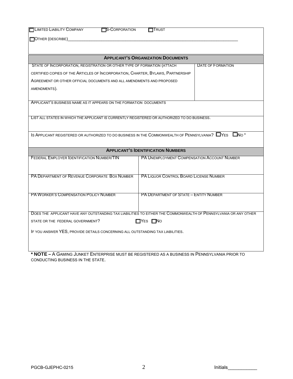| <b>LIMITED LIABILITY COMPANY</b><br>S-CORPORATION                                                               | <b>ITTRUST</b>                                                                                                         |  |  |  |  |
|-----------------------------------------------------------------------------------------------------------------|------------------------------------------------------------------------------------------------------------------------|--|--|--|--|
|                                                                                                                 |                                                                                                                        |  |  |  |  |
| OTHER (DESCRIBE)                                                                                                |                                                                                                                        |  |  |  |  |
|                                                                                                                 |                                                                                                                        |  |  |  |  |
|                                                                                                                 | <b>APPLICANT'S ORGANIZATION DOCUMENTS</b>                                                                              |  |  |  |  |
| STATE OF INCORPORATION, REGISTRATION OR OTHER TYPE OF FORMATION (ATTACH                                         | DATE OF FORMATION                                                                                                      |  |  |  |  |
| CERTIFIED COPIES OF THE ARTICLES OF INCORPORATION, CHARTER, BYLAWS, PARTNERSHIP                                 |                                                                                                                        |  |  |  |  |
| AGREEMENT OR OTHER OFFICIAL DOCUMENTS AND ALL AMENDMENTS AND PROPOSED                                           |                                                                                                                        |  |  |  |  |
| AMENDMENTS).                                                                                                    |                                                                                                                        |  |  |  |  |
|                                                                                                                 |                                                                                                                        |  |  |  |  |
| APPLICANT'S BUSINESS NAME AS IT APPEARS ON THE FORMATION DOCUMENTS                                              |                                                                                                                        |  |  |  |  |
|                                                                                                                 |                                                                                                                        |  |  |  |  |
| LIST ALL STATES IN WHICH THE APPLICANT IS CURRENTLY REGISTERED OR AUTHORIZED TO DO BUSINESS.                    |                                                                                                                        |  |  |  |  |
|                                                                                                                 |                                                                                                                        |  |  |  |  |
|                                                                                                                 | IS APPLICANT REGISTERED OR AUTHORIZED TO DO BUSINESS IN THE COMMONWEALTH OF PENNSYLVANIA? $\square$ YES $\square$ NO * |  |  |  |  |
|                                                                                                                 |                                                                                                                        |  |  |  |  |
|                                                                                                                 | <b>APPLICANT'S IDENTIFICATION NUMBERS</b>                                                                              |  |  |  |  |
| <b>FEDERAL EMPLOYER IDENTIFICATION NUMBER/TIN</b>                                                               | PA UNEMPLOYMENT COMPENSATION ACCOUNT NUMBER                                                                            |  |  |  |  |
|                                                                                                                 |                                                                                                                        |  |  |  |  |
|                                                                                                                 |                                                                                                                        |  |  |  |  |
| PA DEPARTMENT OF REVENUE CORPORATE BOX NUMBER                                                                   | PA LIQUOR CONTROL BOARD LICENSE NUMBER                                                                                 |  |  |  |  |
|                                                                                                                 |                                                                                                                        |  |  |  |  |
| <b>PA WORKER'S COMPENSATION POLICY NUMBER</b>                                                                   | PA DEPARTMENT OF STATE - ENTITY NUMBER                                                                                 |  |  |  |  |
|                                                                                                                 |                                                                                                                        |  |  |  |  |
|                                                                                                                 |                                                                                                                        |  |  |  |  |
| DOES THE APPLICANT HAVE ANY OUTSTANDING TAX LIABILITIES TO EITHER THE COMMONWEALTH OF PENNSYLVANIA OR ANY OTHER |                                                                                                                        |  |  |  |  |
| STATE OR THE FEDERAL GOVERNMENT?                                                                                | $\Box$ YES $\Box$ No                                                                                                   |  |  |  |  |
| IF YOU ANSWER YES, PROVIDE DETAILS CONCERNING ALL OUTSTANDING TAX LIABILITIES.                                  |                                                                                                                        |  |  |  |  |
|                                                                                                                 |                                                                                                                        |  |  |  |  |
|                                                                                                                 |                                                                                                                        |  |  |  |  |

**\* NOTE –** A GAMING JUNKET ENTERPRISE MUST BE REGISTERED AS A BUSINESS IN PENNSYLVANIA PRIOR TO CONDUCTING BUSINESS IN THE STATE.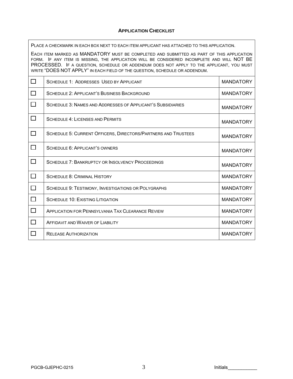#### **APPLICATION CHECKLIST**

PLACE A CHECKMARK IN EACH BOX NEXT TO EACH ITEM APPLICANT HAS ATTACHED TO THIS APPLICATION.

EACH ITEM MARKED AS MANDATORY MUST BE COMPLETED AND SUBMITTED AS PART OF THIS APPLICATION FORM. IF ANY ITEM IS MISSING, THE APPLICATION WILL BE CONSIDERED INCOMPLETE AND WILL NOT BE PROCESSED. IF A QUESTION, SCHEDULE OR ADDENDUM DOES NOT APPLY TO THE APPLICANT, YOU MUST WRITE "DOES NOT APPLY" IN EACH FIELD OF THE QUESTION, SCHEDULE OR ADDENDUM.

| П            | <b>SCHEDULE 1: ADDRESSES USED BY APPLICANT</b>                | <b>MANDATORY</b> |
|--------------|---------------------------------------------------------------|------------------|
| П            | SCHEDULE 2: APPLICANT'S BUSINESS BACKGROUND                   | <b>MANDATORY</b> |
| П            | SCHEDULE 3: NAMES AND ADDRESSES OF APPLICANT'S SUBSIDIARIES   | <b>MANDATORY</b> |
| П            | <b>SCHEDULE 4: LICENSES AND PERMITS</b>                       | <b>MANDATORY</b> |
| П            | SCHEDULE 5: CURRENT OFFICERS, DIRECTORS/PARTNERS AND TRUSTEES | <b>MANDATORY</b> |
| $\Box$       | SCHEDULE 6: APPLICANT'S OWNERS                                | <b>MANDATORY</b> |
| $\Box$       | <b>SCHEDULE 7: BANKRUPTCY OR INSOLVENCY PROCEEDINGS</b>       | <b>MANDATORY</b> |
| $\mathbf{I}$ | <b>SCHEDULE 8: CRIMINAL HISTORY</b>                           | <b>MANDATORY</b> |
| $\mathbf{I}$ | SCHEDULE 9: TESTIMONY, INVESTIGATIONS OR POLYGRAPHS           | <b>MANDATORY</b> |
| П            | <b>SCHEDULE 10: EXISTING LITIGATION</b>                       | <b>MANDATORY</b> |
|              | <b>APPLICATION FOR PENNSYLVANIA TAX CLEARANCE REVIEW</b>      | <b>MANDATORY</b> |
|              | AFFIDAVIT AND WAIVER OF LIABILITY                             | <b>MANDATORY</b> |
|              | <b>RELEASE AUTHORIZATION</b>                                  | <b>MANDATORY</b> |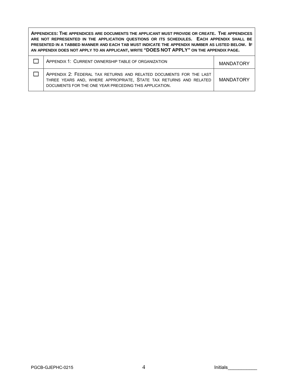**APPENDICES: THE APPENDICES ARE DOCUMENTS THE APPLICANT MUST PROVIDE OR CREATE. THE APPENDICES ARE NOT REPRESENTED IN THE APPLICATION QUESTIONS OR ITS SCHEDULES. EACH APPENDIX SHALL BE PRESENTED IN A TABBED MANNER AND EACH TAB MUST INDICATE THE APPENDIX NUMBER AS LISTED BELOW. IF AN APPENDIX DOES NOT APPLY TO AN APPLICANT, WRITE "DOES NOT APPLY" ON THE APPENDIX PAGE.** 

| APPENDIX 1: CURRENT OWNERSHIP TABLE OF ORGANIZATION                                                                                                                                               | <b>MANDATORY</b> |
|---------------------------------------------------------------------------------------------------------------------------------------------------------------------------------------------------|------------------|
| APPENDIX 2: FEDERAL TAX RETURNS AND RELATED DOCUMENTS FOR THE LAST<br>THREE YEARS AND, WHERE APPROPRIATE, STATE TAX RETURNS AND RELATED<br>DOCUMENTS FOR THE ONE YEAR PRECEDING THIS APPLICATION. | <b>MANDATORY</b> |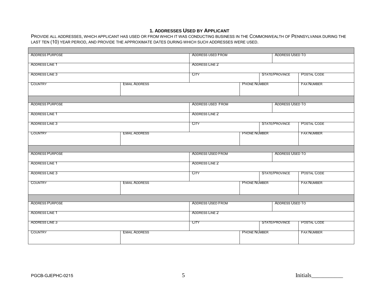## **1. ADDRESSES USED BY APPLICANT**

PROVIDE ALL ADDRESSES, WHICH APPLICANT HAS USED OR FROM WHICH IT WAS CONDUCTING BUSINESS IN THE COMMONWEALTH OF PENNSYLVANIA DURING THE LAST TEN (10) YEAR PERIOD, AND PROVIDE THE APPROXIMATE DATES DURING WHICH SUCH ADDRESSES WERE USED.

| <b>ADDRESS PURPOSE</b> | <b>ADDRESS USED FROM</b><br><b>ADDRESS USED TO</b> |                          |                     |                        |                    |  |  |  |
|------------------------|----------------------------------------------------|--------------------------|---------------------|------------------------|--------------------|--|--|--|
| <b>ADDRESS LINE 1</b>  |                                                    | <b>ADDRESS LINE 2</b>    |                     |                        |                    |  |  |  |
| ADDRESS LINE 3         | <b>CITY</b>                                        |                          | STATE/PROVINCE      | POSTAL CODE            |                    |  |  |  |
| <b>COUNTRY</b>         | <b>EMAIL ADDRESS</b>                               |                          | <b>PHONE NUMBER</b> |                        | <b>FAX NUMBER</b>  |  |  |  |
| <b>ADDRESS PURPOSE</b> |                                                    | <b>ADDRESS USED FROM</b> |                     | <b>ADDRESS USED TO</b> |                    |  |  |  |
|                        |                                                    |                          |                     |                        |                    |  |  |  |
| <b>ADDRESS LINE 1</b>  |                                                    | <b>ADDRESS LINE 2</b>    |                     |                        |                    |  |  |  |
| ADDRESS LINE 3         |                                                    | <b>CITY</b>              |                     | STATE/PROVINCE         | <b>POSTAL CODE</b> |  |  |  |
| <b>COUNTRY</b>         | <b>EMAIL ADDRESS</b>                               |                          | <b>PHONE NUMBER</b> |                        | <b>FAX NUMBER</b>  |  |  |  |
|                        |                                                    |                          |                     |                        |                    |  |  |  |
| <b>ADDRESS PURPOSE</b> |                                                    | <b>ADDRESS USED FROM</b> |                     | <b>ADDRESS USED TO</b> |                    |  |  |  |
| <b>ADDRESS LINE 1</b>  |                                                    | <b>ADDRESS LINE 2</b>    |                     |                        |                    |  |  |  |
| ADDRESS LINE 3         |                                                    | <b>CITY</b>              |                     | STATE/PROVINCE         | <b>POSTAL CODE</b> |  |  |  |
| <b>COUNTRY</b>         | <b>EMAIL ADDRESS</b>                               |                          | <b>PHONE NUMBER</b> |                        | <b>FAX NUMBER</b>  |  |  |  |
|                        |                                                    |                          |                     |                        |                    |  |  |  |
| <b>ADDRESS PURPOSE</b> |                                                    | <b>ADDRESS USED FROM</b> |                     | <b>ADDRESS USED TO</b> |                    |  |  |  |
| <b>ADDRESS LINE 1</b>  |                                                    | <b>ADDRESS LINE 2</b>    |                     |                        |                    |  |  |  |
| ADDRESS LINE 3         |                                                    | <b>CITY</b>              |                     | <b>STATE/PROVINCE</b>  | POSTAL CODE        |  |  |  |
| <b>COUNTRY</b>         | <b>EMAIL ADDRESS</b>                               |                          | <b>PHONE NUMBER</b> |                        | <b>FAX NUMBER</b>  |  |  |  |
|                        |                                                    |                          |                     |                        |                    |  |  |  |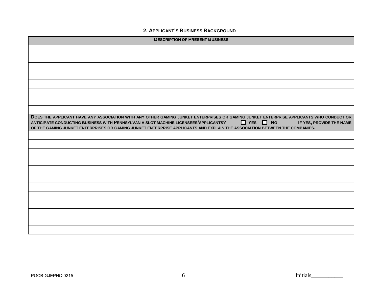**2. APPLICANT'S BUSINESS BACKGROUND** 

| <b>DESCRIPTION OF PRESENT BUSINESS</b>                                                                                                                                                                                                                                            |
|-----------------------------------------------------------------------------------------------------------------------------------------------------------------------------------------------------------------------------------------------------------------------------------|
|                                                                                                                                                                                                                                                                                   |
|                                                                                                                                                                                                                                                                                   |
|                                                                                                                                                                                                                                                                                   |
|                                                                                                                                                                                                                                                                                   |
|                                                                                                                                                                                                                                                                                   |
|                                                                                                                                                                                                                                                                                   |
|                                                                                                                                                                                                                                                                                   |
|                                                                                                                                                                                                                                                                                   |
| DOES THE APPLICANT HAVE ANY ASSOCIATION WITH ANY OTHER GAMING JUNKET ENTERPRISES OR GAMING JUNKET ENTERPRISE APPLICANTS WHO CONDUCT OR<br>$\Box$ YES $\Box$ No<br>ANTICIPATE CONDUCTING BUSINESS WITH PENNSYLVANIA SLOT MACHINE LICENSEES/APPLICANTS?<br>IF YES, PROVIDE THE NAME |
| OF THE GAMING JUNKET ENTERPRISES OR GAMING JUNKET ENTERPRISE APPLICANTS AND EXPLAIN THE ASSOCIATION BETWEEN THE COMPANIES.                                                                                                                                                        |
|                                                                                                                                                                                                                                                                                   |
|                                                                                                                                                                                                                                                                                   |
|                                                                                                                                                                                                                                                                                   |
|                                                                                                                                                                                                                                                                                   |
|                                                                                                                                                                                                                                                                                   |
|                                                                                                                                                                                                                                                                                   |
|                                                                                                                                                                                                                                                                                   |
|                                                                                                                                                                                                                                                                                   |
|                                                                                                                                                                                                                                                                                   |
|                                                                                                                                                                                                                                                                                   |
|                                                                                                                                                                                                                                                                                   |
|                                                                                                                                                                                                                                                                                   |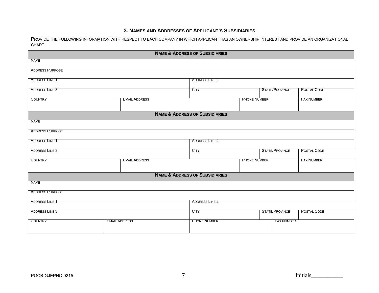## **3. NAMES AND ADDRESSES OF APPLICANT'S SUBSIDIARIES**

PROVIDE THE FOLLOWING INFORMATION WITH RESPECT TO EACH COMPANY IN WHICH APPLICANT HAS AN OWNERSHIP INTEREST AND PROVIDE AN ORGANIZATIONAL CHART.

|                        |                      | <b>NAME &amp; ADDRESS OF SUBSIDIARIES</b> |                     |                   |                    |
|------------------------|----------------------|-------------------------------------------|---------------------|-------------------|--------------------|
| <b>NAME</b>            |                      |                                           |                     |                   |                    |
| <b>ADDRESS PURPOSE</b> |                      |                                           |                     |                   |                    |
| <b>ADDRESS LINE 1</b>  |                      | ADDRESS LINE 2                            |                     |                   |                    |
| ADDRESS LINE 3         |                      | <b>CITY</b>                               |                     | STATE/PROVINCE    | <b>POSTAL CODE</b> |
| <b>COUNTRY</b>         | <b>EMAIL ADDRESS</b> |                                           | <b>PHONE NUMBER</b> |                   | <b>FAX NUMBER</b>  |
|                        |                      | <b>NAME &amp; ADDRESS OF SUBSIDIARIES</b> |                     |                   |                    |
| NAME                   |                      |                                           |                     |                   |                    |
| <b>ADDRESS PURPOSE</b> |                      |                                           |                     |                   |                    |
| <b>ADDRESS LINE 1</b>  |                      | <b>ADDRESS LINE 2</b>                     |                     |                   |                    |
| ADDRESS LINE 3         |                      | <b>CITY</b>                               |                     | STATE/PROVINCE    | POSTAL CODE        |
| <b>COUNTRY</b>         | <b>EMAIL ADDRESS</b> | <b>PHONE NUMBER</b>                       |                     |                   | <b>FAX NUMBER</b>  |
|                        |                      | <b>NAME &amp; ADDRESS OF SUBSIDIARIES</b> |                     |                   |                    |
| NAME                   |                      |                                           |                     |                   |                    |
| <b>ADDRESS PURPOSE</b> |                      |                                           |                     |                   |                    |
| <b>ADDRESS LINE 1</b>  |                      | <b>ADDRESS LINE 2</b>                     |                     |                   |                    |
| ADDRESS LINE 3         |                      | <b>CITY</b>                               |                     | STATE/PROVINCE    | <b>POSTAL CODE</b> |
| <b>COUNTRY</b>         | <b>EMAIL ADDRESS</b> | <b>PHONE NUMBER</b>                       |                     | <b>FAX NUMBER</b> |                    |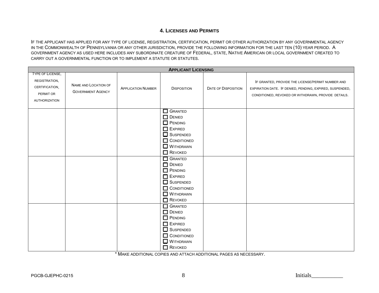## **4. LICENSES AND PERMITS**

IF THE APPLICANT HAS APPLIED FOR ANY TYPE OF LICENSE, REGISTRATION, CERTIFICATION, PERMIT OR OTHER AUTHORIZATION BY ANY GOVERNMENTAL AGENCY IN THE COMMONWEALTH OF PENNSYLVANIA OR ANY OTHER JURISDICTION, PROVIDE THE FOLLOWING INFORMATION FOR THE LAST TEN (10) YEAR PERIOD. A GOVERNMENT AGENCY AS USED HERE INCLUDES ANY SUBORDINATE CREATURE OF FEDERAL, STATE, NATIVE AMERICAN OR LOCAL GOVERNMENT CREATED TO CARRY OUT A GOVERNMENTAL FUNCTION OR TO IMPLEMENT A STATUTE OR STATUTES.

|                                                                                                 |                                                  |                           | <b>APPLICANT LICENSING</b>                                                                                                                                                                                                                                              |                            |                                                                                                                                                                      |
|-------------------------------------------------------------------------------------------------|--------------------------------------------------|---------------------------|-------------------------------------------------------------------------------------------------------------------------------------------------------------------------------------------------------------------------------------------------------------------------|----------------------------|----------------------------------------------------------------------------------------------------------------------------------------------------------------------|
| <b>TYPE OF LICENSE,</b><br>REGISTRATION,<br>CERTIFICATION,<br>PERMIT OR<br><b>AUTHORIZATION</b> | NAME AND LOCATION OF<br><b>GOVERNMENT AGENCY</b> | <b>APPLICATION NUMBER</b> | <b>DISPOSITION</b>                                                                                                                                                                                                                                                      | <b>DATE OF DISPOSITION</b> | IF GRANTED, PROVIDE THE LICENSE/PERMIT NUMBER AND<br>EXPIRATION DATE. IF DENIED, PENDING, EXPIRED, SUSPENDED,<br>CONDITIONED, REVOKED OR WITHDRAWN, PROVIDE DETAILS. |
|                                                                                                 |                                                  |                           | $\Box$ Granted<br>$\Box$ DENIED<br>$\Box$ PENDING<br>$\Box$ EXPIRED<br>SUSPENDED<br>CONDITIONED<br>$\Box$ Withdrawn<br>$\Box$ Revoked<br><b>GRANTED</b><br><b>DENIED</b><br>$\Box$ PENDING<br>EXPIRED<br>$\Box$ SUSPENDED<br>CONDITIONED<br>$\Box$ Withdrawn<br>REVOKED |                            |                                                                                                                                                                      |
|                                                                                                 |                                                  |                           | GRANTED<br>$\Box$ DENIED<br>$\Box$ PENDING<br>$\Box$ EXPIRED<br>SUSPENDED<br>CONDITIONED<br>$\Box$ Withdrawn<br>$\Box$ REVOKED                                                                                                                                          |                            |                                                                                                                                                                      |

\* MAKE ADDITIONAL COPIES AND ATTACH ADDITIONAL PAGES AS NECESSARY.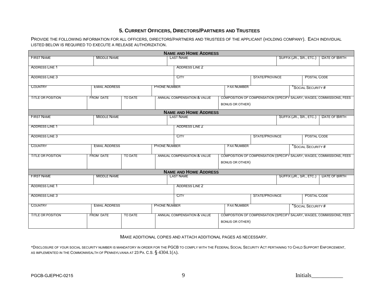## **5. CURRENT OFFICERS, DIRECTORS/PARTNERS AND TRUSTEES**

PROVIDE THE FOLLOWING INFORMATION FOR ALL OFFICERS, DIRECTORS/PARTNERS AND TRUSTEES OF THE APPLICANT (HOLDING COMPANY). EACH INDIVIDUAL LISTED BELOW IS REQUIRED TO EXECUTE A RELEASE AUTHORIZATION.

| <b>NAME AND HOME ADDRESS</b> |                      |         |                     |                              |  |                        |                       |                         |                                                                       |
|------------------------------|----------------------|---------|---------------------|------------------------------|--|------------------------|-----------------------|-------------------------|-----------------------------------------------------------------------|
| <b>FIRST NAME</b>            | <b>MIDDLE NAME</b>   |         |                     | <b>LAST NAME</b>             |  |                        |                       | SUFFIX (JR., SR., ETC.) | DATE OF BIRTH                                                         |
| <b>ADDRESS LINE 1</b>        |                      |         |                     | <b>ADDRESS LINE 2</b>        |  |                        |                       |                         |                                                                       |
|                              |                      |         |                     |                              |  |                        |                       |                         |                                                                       |
| <b>ADDRESS LINE 3</b>        |                      |         |                     | <b>CITY</b>                  |  |                        | <b>STATE/PROVINCE</b> | <b>POSTAL CODE</b>      |                                                                       |
| <b>COUNTRY</b>               | <b>EMAIL ADDRESS</b> |         | <b>PHONE NUMBER</b> |                              |  | <b>FAX NUMBER</b>      |                       | SOCIAL SECURITY #       |                                                                       |
|                              |                      |         |                     |                              |  |                        |                       |                         |                                                                       |
| <b>TITLE OR POSITION</b>     | <b>FROM DATE</b>     | TO DATE |                     | ANNUAL COMPENSATION & VALUE  |  |                        |                       |                         | COMPOSITION OF COMPENSATION (SPECIFY SALARY, WAGES, COMMISSIONS, FEES |
|                              |                      |         |                     |                              |  | <b>BONUS OR OTHER)</b> |                       |                         |                                                                       |
|                              |                      |         |                     | <b>NAME AND HOME ADDRESS</b> |  |                        |                       |                         |                                                                       |
| <b>FIRST NAME</b>            | <b>MIDDLE NAME</b>   |         |                     | <b>LAST NAME</b>             |  |                        |                       | SUFFIX (JR., SR., ETC.) | <b>DATE OF BIRTH</b>                                                  |
| <b>ADDRESS LINE 1</b>        |                      |         |                     | <b>ADDRESS LINE 2</b>        |  |                        |                       |                         |                                                                       |
| <b>ADDRESS LINE 3</b>        |                      |         |                     | <b>CITY</b>                  |  |                        | <b>STATE/PROVINCE</b> | <b>POSTAL CODE</b>      |                                                                       |
|                              |                      |         |                     |                              |  |                        |                       |                         |                                                                       |
| <b>COUNTRY</b>               | <b>EMAIL ADDRESS</b> |         | <b>PHONE NUMBER</b> |                              |  | <b>FAX NUMBER</b>      |                       | SOCIAL SECURITY #       |                                                                       |
|                              |                      | TO DATE |                     |                              |  |                        |                       |                         |                                                                       |
| <b>TITLE OR POSITION</b>     | <b>FROM DATE</b>     |         |                     | ANNUAL COMPENSATION & VALUE  |  |                        |                       |                         | COMPOSITION OF COMPENSATION (SPECIFY SALARY, WAGES, COMMISSIONS, FEES |
|                              |                      |         |                     |                              |  | <b>BONUS OR OTHER)</b> |                       |                         |                                                                       |
|                              |                      |         |                     | <b>NAME AND HOME ADDRESS</b> |  |                        |                       |                         |                                                                       |
| <b>FIRST NAME</b>            | <b>MIDDLE NAME</b>   |         |                     | <b>LAST NAME</b>             |  |                        |                       | SUFFIX (JR., SR., ETC.) | DATE OF BIRTH                                                         |
| <b>ADDRESS LINE 1</b>        |                      |         |                     | <b>ADDRESS LINE 2</b>        |  |                        |                       |                         |                                                                       |
| <b>ADDRESS LINE 3</b>        |                      |         |                     | <b>CITY</b>                  |  |                        | <b>STATE/PROVINCE</b> | <b>POSTAL CODE</b>      |                                                                       |
|                              |                      |         |                     |                              |  |                        |                       |                         |                                                                       |
| <b>COUNTRY</b>               | <b>EMAIL ADDRESS</b> |         | <b>PHONE NUMBER</b> |                              |  | <b>FAX NUMBER</b>      |                       | SOCIAL SECURITY #       |                                                                       |
| <b>TITLE OR POSITION</b>     | <b>FROM DATE</b>     | TO DATE |                     | ANNUAL COMPENSATION & VALUE  |  |                        |                       |                         | COMPOSITION OF COMPENSATION (SPECIFY SALARY, WAGES, COMMISSIONS, FEES |
|                              |                      |         |                     |                              |  | <b>BONUS OR OTHER)</b> |                       |                         |                                                                       |
|                              |                      |         |                     |                              |  |                        |                       |                         |                                                                       |

#### MAKE ADDITIONAL COPIES AND ATTACH ADDITIONAL PAGES AS NECESSARY.

\*DISCLOSURE OF YOUR SOCIAL SECURITY NUMBER IS MANDATORY IN ORDER FOR THE PGCB TO COMPLY WITH THE FEDERAL SOCIAL SECURITY ACT PERTAINING TO CHILD SUPPORT ENFORCEMENT, AS IMPLEMENTED IN THE  ${\sf Commonwell}$  for Pennsylvania at 23 Pa. C.S.  $\S$   $4304.1$ (A).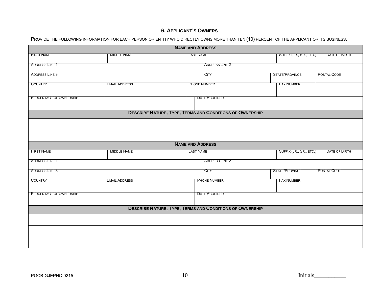## **6. APPLICANT'S OWNERS**

PROVIDE THE FOLLOWING INFORMATION FOR EACH PERSON OR ENTITY WHO DIRECTLY OWNS MORE THAN TEN (10) PERCENT OF THE APPLICANT OR ITS BUSINESS.

|                         |                      | <b>NAME AND ADDRESS</b> |                                                                 |  |                         |                      |
|-------------------------|----------------------|-------------------------|-----------------------------------------------------------------|--|-------------------------|----------------------|
| <b>FIRST NAME</b>       | <b>MIDDLE NAME</b>   | <b>LAST NAME</b>        |                                                                 |  | SUFFIX (JR., SR., ETC.) | <b>DATE OF BIRTH</b> |
| <b>ADDRESS LINE 1</b>   |                      |                         | <b>ADDRESS LINE 2</b>                                           |  |                         |                      |
| <b>ADDRESS LINE 3</b>   |                      |                         | <b>CITY</b>                                                     |  | STATE/PROVINCE          | POSTAL CODE          |
| <b>COUNTRY</b>          | <b>EMAIL ADDRESS</b> |                         | <b>PHONE NUMBER</b>                                             |  | <b>FAX NUMBER</b>       |                      |
| PERCENTAGE OF OWNERSHIP |                      |                         | <b>DATE ACQUIRED</b>                                            |  |                         |                      |
|                         |                      |                         | <b>DESCRIBE NATURE, TYPE, TERMS AND CONDITIONS OF OWNERSHIP</b> |  |                         |                      |
|                         |                      |                         |                                                                 |  |                         |                      |
|                         |                      |                         |                                                                 |  |                         |                      |
|                         |                      |                         |                                                                 |  |                         |                      |
|                         |                      | <b>NAME AND ADDRESS</b> |                                                                 |  |                         |                      |
| <b>FIRST NAME</b>       | <b>MIDDLE NAME</b>   | <b>LAST NAME</b>        |                                                                 |  | SUFFIX (JR., SR., ETC.) | <b>DATE OF BIRTH</b> |
| <b>ADDRESS LINE 1</b>   |                      |                         | <b>ADDRESS LINE 2</b>                                           |  |                         |                      |
| <b>ADDRESS LINE 3</b>   |                      |                         | <b>CITY</b>                                                     |  | STATE/PROVINCE          | POSTAL CODE          |
| <b>COUNTRY</b>          | <b>EMAIL ADDRESS</b> |                         | <b>PHONE NUMBER</b>                                             |  | <b>FAX NUMBER</b>       |                      |
| PERCENTAGE OF OWNERSHIP |                      |                         | <b>DATE ACQUIRED</b>                                            |  |                         |                      |
|                         |                      |                         | <b>DESCRIBE NATURE, TYPE, TERMS AND CONDITIONS OF OWNERSHIP</b> |  |                         |                      |
|                         |                      |                         |                                                                 |  |                         |                      |
|                         |                      |                         |                                                                 |  |                         |                      |
|                         |                      |                         |                                                                 |  |                         |                      |
|                         |                      |                         |                                                                 |  |                         |                      |
|                         |                      |                         |                                                                 |  |                         |                      |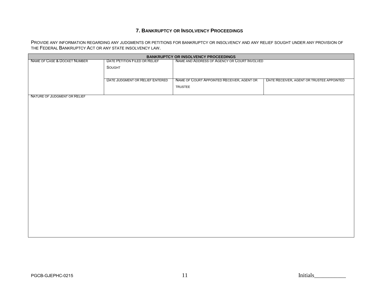## **7. BANKRUPTCY OR INSOLVENCY PROCEEDINGS**

PROVIDE ANY INFORMATION REGARDING ANY JUDGMENTS OR PETITIONS FOR BANKRUPTCY OR INSOLVENCY AND ANY RELIEF SOUGHT UNDER ANY PROVISION OF THE FEDERAL BANKRUPTCY ACT OR ANY STATE INSOLVENCY LAW.

| NAME AND ADDRESS OF AGENCY OR COURT INVOLVED<br>NAME OF CASE & DOCKET NUMBER<br>DATE PETITION FILED OR RELIEF<br>SOUGHT<br>DATE JUDGMENT OR RELIEF ENTERED<br>NAME OF COURT APPOINTED RECEIVER, AGENT OR<br>DATE RECEIVER, AGENT OR TRUSTEE APPOINTED |
|-------------------------------------------------------------------------------------------------------------------------------------------------------------------------------------------------------------------------------------------------------|
|                                                                                                                                                                                                                                                       |
|                                                                                                                                                                                                                                                       |
|                                                                                                                                                                                                                                                       |
|                                                                                                                                                                                                                                                       |
|                                                                                                                                                                                                                                                       |
| <b>TRUSTEE</b>                                                                                                                                                                                                                                        |
|                                                                                                                                                                                                                                                       |
| NATURE OF JUDGMENT OR RELIEF                                                                                                                                                                                                                          |
|                                                                                                                                                                                                                                                       |
|                                                                                                                                                                                                                                                       |
|                                                                                                                                                                                                                                                       |
|                                                                                                                                                                                                                                                       |
|                                                                                                                                                                                                                                                       |
|                                                                                                                                                                                                                                                       |
|                                                                                                                                                                                                                                                       |
|                                                                                                                                                                                                                                                       |
|                                                                                                                                                                                                                                                       |
|                                                                                                                                                                                                                                                       |
|                                                                                                                                                                                                                                                       |
|                                                                                                                                                                                                                                                       |
|                                                                                                                                                                                                                                                       |
|                                                                                                                                                                                                                                                       |
|                                                                                                                                                                                                                                                       |
|                                                                                                                                                                                                                                                       |
|                                                                                                                                                                                                                                                       |
|                                                                                                                                                                                                                                                       |
|                                                                                                                                                                                                                                                       |
|                                                                                                                                                                                                                                                       |
|                                                                                                                                                                                                                                                       |
|                                                                                                                                                                                                                                                       |
|                                                                                                                                                                                                                                                       |
|                                                                                                                                                                                                                                                       |
|                                                                                                                                                                                                                                                       |
|                                                                                                                                                                                                                                                       |
|                                                                                                                                                                                                                                                       |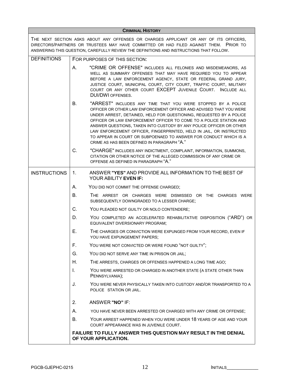| <b>CRIMINAL HISTORY</b> |           |                                                                                                                                                                                                                                                                                                                                                                                                                                                                                                                                                   |  |  |  |  |  |  |
|-------------------------|-----------|---------------------------------------------------------------------------------------------------------------------------------------------------------------------------------------------------------------------------------------------------------------------------------------------------------------------------------------------------------------------------------------------------------------------------------------------------------------------------------------------------------------------------------------------------|--|--|--|--|--|--|
|                         |           | THE NEXT SECTION ASKS ABOUT ANY OFFENSES OR CHARGES APPLICANT OR ANY OF ITS OFFICERS,<br>DIRECTORS/PARTNERS OR TRUSTEES MAY HAVE COMMITTED OR HAD FILED AGAINST THEM. PRIOR TO<br>ANSWERING THIS QUESTION, CAREFULLY REVIEW THE DEFINITIONS AND INSTRUCTIONS THAT FOLLOW.                                                                                                                                                                                                                                                                         |  |  |  |  |  |  |
| <b>DEFINITIONS</b>      |           | FOR PURPOSES OF THIS SECTION:                                                                                                                                                                                                                                                                                                                                                                                                                                                                                                                     |  |  |  |  |  |  |
|                         | А.        | "CRIME OR OFFENSE" INCLUDES ALL FELONIES AND MISDEMEANORS, AS<br>WELL AS SUMMARY OFFENSES THAT MAY HAVE REQUIRED YOU TO APPEAR<br>BEFORE A LAW ENFORCEMENT AGENCY, STATE OR FEDERAL GRAND JURY,<br>JUSTICE COURT, MUNICIPAL COURT, CITY COURT, TRAFFIC COURT, MILITARY<br>COURT OR ANY OTHER COURT EXCEPT JUVENILE COURT. INCLUDE ALL<br><b>DUI/DWI OFFENSES.</b>                                                                                                                                                                                 |  |  |  |  |  |  |
|                         | В.        | "ARREST" INCLUDES ANY TIME THAT YOU WERE STOPPED BY A POLICE<br>OFFICER OR OTHER LAW ENFORCEMENT OFFICER AND ADVISED THAT YOU WERE<br>UNDER ARREST, DETAINED, HELD FOR QUESTIONING, REQUESTED BY A POLICE<br>OFFICER OR LAW ENFORCEMENT OFFICER TO COME TO A POLICE STATION AND<br>ANSWER QUESTIONS, TAKEN INTO CUSTODY BY ANY POLICE OFFICER OR OTHER<br>LAW ENFORCEMENT OFFICER, FINGERPRINTED, HELD IN JAIL, OR INSTRUCTED<br>TO APPEAR IN COURT OR SUBPOENAED TO ANSWER FOR CONDUCT WHICH IS A<br>CRIME AS HAS BEEN DEFINED IN PARAGRAPH "A." |  |  |  |  |  |  |
|                         | C.        | "CHARGE" INCLUDES ANY INDICTMENT, COMPLAINT, INFORMATION, SUMMONS,<br>CITATION OR OTHER NOTICE OF THE ALLEGED COMMISSION OF ANY CRIME OR<br>OFFENSE AS DEFINED IN PARAGRAPH "A."                                                                                                                                                                                                                                                                                                                                                                  |  |  |  |  |  |  |
| <b>INSTRUCTIONS</b>     | 1.        | ANSWER "YES" AND PROVIDE ALL INFORMATION TO THE BEST OF<br>YOUR ABILITY EVEN IF:                                                                                                                                                                                                                                                                                                                                                                                                                                                                  |  |  |  |  |  |  |
|                         | А.        | YOU DID NOT COMMIT THE OFFENSE CHARGED;                                                                                                                                                                                                                                                                                                                                                                                                                                                                                                           |  |  |  |  |  |  |
|                         | <b>B.</b> | THE ARREST OR CHARGES WERE DISMISSED OR THE CHARGES WERE<br>SUBSEQUENTLY DOWNGRADED TO A LESSER CHARGE;                                                                                                                                                                                                                                                                                                                                                                                                                                           |  |  |  |  |  |  |
|                         | C.        | YOU PLEADED NOT GUILTY OR NOLO CONTENDERE;                                                                                                                                                                                                                                                                                                                                                                                                                                                                                                        |  |  |  |  |  |  |
|                         | D.        | YOU COMPLETED AN ACCELERATED REHABILITATIVE DISPOSITION ("ARD") OR<br>EQUIVALENT DIVERSIONARY PROGRAM;                                                                                                                                                                                                                                                                                                                                                                                                                                            |  |  |  |  |  |  |
|                         | Е.        | THE CHARGES OR CONVICTION WERE EXPUNGED FROM YOUR RECORD, EVEN IF<br>YOU HAVE EXPUNGEMENT PAPERS;                                                                                                                                                                                                                                                                                                                                                                                                                                                 |  |  |  |  |  |  |
|                         | F.        | YOU WERE NOT CONVICTED OR WERE FOUND "NOT GUILTY";                                                                                                                                                                                                                                                                                                                                                                                                                                                                                                |  |  |  |  |  |  |
|                         | G.        | YOU DID NOT SERVE ANY TIME IN PRISON OR JAIL;                                                                                                                                                                                                                                                                                                                                                                                                                                                                                                     |  |  |  |  |  |  |
|                         | Η.        | THE ARRESTS, CHARGES OR OFFENSES HAPPENED A LONG TIME AGO;                                                                                                                                                                                                                                                                                                                                                                                                                                                                                        |  |  |  |  |  |  |
|                         | I.        | YOU WERE ARRESTED OR CHARGED IN ANOTHER STATE (A STATE OTHER THAN<br>PENNSYLVANIA);                                                                                                                                                                                                                                                                                                                                                                                                                                                               |  |  |  |  |  |  |
|                         | J.        | YOU WERE NEVER PHYSICALLY TAKEN INTO CUSTODY AND/OR TRANSPORTED TO A<br>POLICE STATION OR JAIL.                                                                                                                                                                                                                                                                                                                                                                                                                                                   |  |  |  |  |  |  |
|                         | 2.        | ANSWER "NO" IF:                                                                                                                                                                                                                                                                                                                                                                                                                                                                                                                                   |  |  |  |  |  |  |
|                         | А.        | YOU HAVE NEVER BEEN ARRESTED OR CHARGED WITH ANY CRIME OR OFFENSE;                                                                                                                                                                                                                                                                                                                                                                                                                                                                                |  |  |  |  |  |  |
|                         | В.        | YOUR ARREST HAPPENED WHEN YOU WERE UNDER 18 YEARS OF AGE AND YOUR<br>COURT APPEARANCE WAS IN JUVENILE COURT.                                                                                                                                                                                                                                                                                                                                                                                                                                      |  |  |  |  |  |  |
|                         |           | FAILURE TO FULLY ANSWER THIS QUESTION MAY RESULT IN THE DENIAL<br>OF YOUR APPLICATION.                                                                                                                                                                                                                                                                                                                                                                                                                                                            |  |  |  |  |  |  |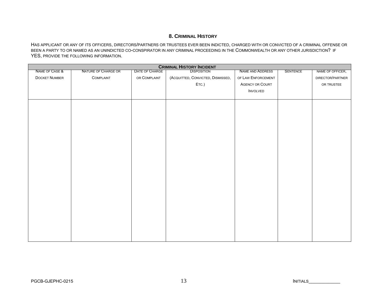## **8. CRIMINAL HISTORY**

HAS APPLICANT OR ANY OF ITS OFFICERS, DIRECTORS/PARTNERS OR TRUSTEES EVER BEEN INDICTED, CHARGED WITH OR CONVICTED OF A CRIMINAL OFFENSE OR BEEN A PARTY TO OR NAMED AS AN UNINDICTED CO-CONSPIRATOR IN ANY CRIMINAL PROCEEDING IN THE COMMONWEALTH OR ANY OTHER JURISDICTION? IF YES, PROVIDE THE FOLLOWING INFORMATION.

| <b>CRIMINAL HISTORY INCIDENT</b> |                     |                |                                   |                        |                 |                  |
|----------------------------------|---------------------|----------------|-----------------------------------|------------------------|-----------------|------------------|
| NAME OF CASE &                   | NATURE OF CHARGE OR | DATE OF CHARGE | <b>DISPOSITION</b>                | NAME AND ADDRESS       | <b>SENTENCE</b> | NAME OF OFFICER, |
| <b>DOCKET NUMBER</b>             | COMPLAINT           | OR COMPLAINT   | (ACQUITTED, CONVICTED, DISMISSED, | OF LAW ENFORCEMENT     |                 | DIRECTOR/PARTNER |
|                                  |                     |                | ETC.)                             | <b>AGENCY OR COURT</b> |                 | OR TRUSTEE       |
|                                  |                     |                |                                   | <b>INVOLVED</b>        |                 |                  |
|                                  |                     |                |                                   |                        |                 |                  |
|                                  |                     |                |                                   |                        |                 |                  |
|                                  |                     |                |                                   |                        |                 |                  |
|                                  |                     |                |                                   |                        |                 |                  |
|                                  |                     |                |                                   |                        |                 |                  |
|                                  |                     |                |                                   |                        |                 |                  |
|                                  |                     |                |                                   |                        |                 |                  |
|                                  |                     |                |                                   |                        |                 |                  |
|                                  |                     |                |                                   |                        |                 |                  |
|                                  |                     |                |                                   |                        |                 |                  |
|                                  |                     |                |                                   |                        |                 |                  |
|                                  |                     |                |                                   |                        |                 |                  |
|                                  |                     |                |                                   |                        |                 |                  |
|                                  |                     |                |                                   |                        |                 |                  |
|                                  |                     |                |                                   |                        |                 |                  |
|                                  |                     |                |                                   |                        |                 |                  |
|                                  |                     |                |                                   |                        |                 |                  |
|                                  |                     |                |                                   |                        |                 |                  |
|                                  |                     |                |                                   |                        |                 |                  |
|                                  |                     |                |                                   |                        |                 |                  |
|                                  |                     |                |                                   |                        |                 |                  |
|                                  |                     |                |                                   |                        |                 |                  |
|                                  |                     |                |                                   |                        |                 |                  |
|                                  |                     |                |                                   |                        |                 |                  |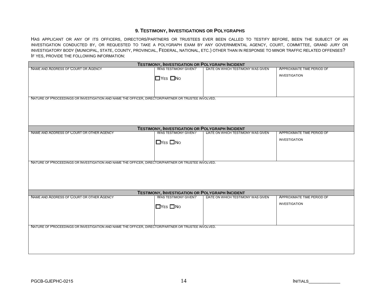### **9. TESTIMONY, INVESTIGATIONS OR POLYGRAPHS**

HAS APPLICANT OR ANY OF ITS OFFICERS, DIRECTORS/PARTNERS OR TRUSTEES EVER BEEN CALLED TO TESTIFY BEFORE, BEEN THE SUBJECT OF AN INVESTIGATION CONDUCTED BY, OR REQUESTED TO TAKE A POLYGRAPH EXAM BY ANY GOVERNMENTAL AGENCY, COURT, COMMITTEE, GRAND JURY OR INVESTIGATORY BODY (MUNICIPAL, STATE, COUNTY, PROVINCIAL, FEDERAL, NATIONAL, ETC.) OTHER THAN IN RESPONSE TO MINOR TRAFFIC RELATED OFFENSES? IF YES, PROVIDE THE FOLLOWING INFORMATION:

| <b>TESTIMONY, INVESTIGATION OR POLYGRAPH INCIDENT</b>                                              |                                                                                      |                                   |                            |  |  |
|----------------------------------------------------------------------------------------------------|--------------------------------------------------------------------------------------|-----------------------------------|----------------------------|--|--|
| <b>NAME AND ADDRESS OF COURT OR AGENCY</b>                                                         | <b>WAS TESTIMONY GIVEN?</b>                                                          | DATE ON WHICH TESTIMONY WAS GIVEN | APPROXIMATE TIME PERIOD OF |  |  |
|                                                                                                    |                                                                                      |                                   | <b>INVESTIGATION</b>       |  |  |
|                                                                                                    | $\Box$ YES $\Box$ No                                                                 |                                   |                            |  |  |
|                                                                                                    |                                                                                      |                                   |                            |  |  |
|                                                                                                    |                                                                                      |                                   |                            |  |  |
| NATURE OF PROCEEDINGS OR INVESTIGATION AND NAME THE OFFICER, DIRECTOR/PARTNER OR TRUSTEE INVOLVED. |                                                                                      |                                   |                            |  |  |
|                                                                                                    |                                                                                      |                                   |                            |  |  |
|                                                                                                    |                                                                                      |                                   |                            |  |  |
|                                                                                                    |                                                                                      |                                   |                            |  |  |
|                                                                                                    |                                                                                      |                                   |                            |  |  |
|                                                                                                    |                                                                                      |                                   |                            |  |  |
|                                                                                                    | <b>TESTIMONY, INVESTIGATION OR POLYGRAPH INCIDENT</b>                                |                                   |                            |  |  |
| NAME AND ADDRESS OF COURT OR OTHER AGENCY                                                          | WAS TESTIMONY GIVEN?                                                                 | DATE ON WHICH TESTIMONY WAS GIVEN | APPROXIMATE TIME PERIOD OF |  |  |
|                                                                                                    | $\Box$ YES $\Box$ No                                                                 |                                   | <b>INVESTIGATION</b>       |  |  |
|                                                                                                    |                                                                                      |                                   |                            |  |  |
|                                                                                                    |                                                                                      |                                   |                            |  |  |
|                                                                                                    |                                                                                      |                                   |                            |  |  |
| NATURE OF PROCEEDINGS OR INVESTIGATION AND NAME THE OFFICER, DIRECTOR/PARTNER OR TRUSTEE INVOLVED. |                                                                                      |                                   |                            |  |  |
|                                                                                                    |                                                                                      |                                   |                            |  |  |
|                                                                                                    |                                                                                      |                                   |                            |  |  |
|                                                                                                    |                                                                                      |                                   |                            |  |  |
|                                                                                                    |                                                                                      |                                   |                            |  |  |
|                                                                                                    |                                                                                      |                                   |                            |  |  |
| NAME AND ADDRESS OF COURT OR OTHER AGENCY                                                          | <b>TESTIMONY, INVESTIGATION OR POLYGRAPH INCIDENT</b><br><b>WAS TESTIMONY GIVEN?</b> | DATE ON WHICH TESTIMONY WAS GIVEN | APPROXIMATE TIME PERIOD OF |  |  |
|                                                                                                    |                                                                                      |                                   |                            |  |  |
|                                                                                                    | $\Box$ YES $\Box$ No                                                                 |                                   | <b>INVESTIGATION</b>       |  |  |
|                                                                                                    |                                                                                      |                                   |                            |  |  |
|                                                                                                    |                                                                                      |                                   |                            |  |  |
|                                                                                                    |                                                                                      |                                   |                            |  |  |
| NATURE OF PROCEEDINGS OR INVESTIGATION AND NAME THE OFFICER, DIRECTOR/PARTNER OR TRUSTEE INVOLVED. |                                                                                      |                                   |                            |  |  |
|                                                                                                    |                                                                                      |                                   |                            |  |  |
|                                                                                                    |                                                                                      |                                   |                            |  |  |
|                                                                                                    |                                                                                      |                                   |                            |  |  |
|                                                                                                    |                                                                                      |                                   |                            |  |  |
|                                                                                                    |                                                                                      |                                   |                            |  |  |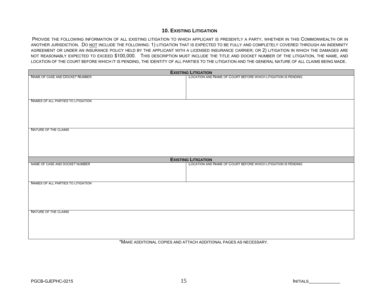### **10. EXISTING LITIGATION**

PROVIDE THE FOLLOWING INFORMATION OF ALL EXISTING LITIGATION TO WHICH APPLICANT IS PRESENTLY A PARTY, WHETHER IN THIS COMMONWEALTH OR IN ANOTHER JURISDICTION. DO NOT INCLUDE THE FOLLOWING: 1) LITIGATION THAT IS EXPECTED TO BE FULLY AND COMPLETELY COVERED THROUGH AN INDEMNITY AGREEMENT OR UNDER AN INSURANCE POLICY HELD BY THE APPLICANT WITH A LICENSED INSURANCE CARRIER; OR 2) LITIGATION IN WHICH THE DAMAGES ARE NOT REASONABLY EXPECTED TO EXCEED \$100,000. THIS DESCRIPTION MUST INCLUDE THE TITLE AND DOCKET NUMBER OF THE LITIGATION, THE NAME, AND LOCATION OF THE COURT BEFORE WHICH IT IS PENDING, THE IDENTITY OF ALL PARTIES TO THE LITIGATION AND THE GENERAL NATURE OF ALL CLAIMS BEING MADE.

| <b>EXISTING LITIGATION</b>         |                                                               |  |  |  |
|------------------------------------|---------------------------------------------------------------|--|--|--|
| NAME OF CASE AND DOCKET NUMBER     | LOCATION AND NAME OF COURT BEFORE WHICH LITIGATION IS PENDING |  |  |  |
|                                    |                                                               |  |  |  |
|                                    |                                                               |  |  |  |
|                                    |                                                               |  |  |  |
| NAMES OF ALL PARTIES TO LITIGATION |                                                               |  |  |  |
|                                    |                                                               |  |  |  |
|                                    |                                                               |  |  |  |
|                                    |                                                               |  |  |  |
| NATURE OF THE CLAIMS               |                                                               |  |  |  |
|                                    |                                                               |  |  |  |
|                                    |                                                               |  |  |  |
|                                    |                                                               |  |  |  |
|                                    |                                                               |  |  |  |
|                                    | <b>EXISTING LITIGATION</b>                                    |  |  |  |
| NAME OF CASE AND DOCKET NUMBER     | LOCATION AND NAME OF COURT BEFORE WHICH LITIGATION IS PENDING |  |  |  |
|                                    |                                                               |  |  |  |
|                                    |                                                               |  |  |  |
| NAMES OF ALL PARTIES TO LITIGATION |                                                               |  |  |  |
|                                    |                                                               |  |  |  |
|                                    |                                                               |  |  |  |
|                                    |                                                               |  |  |  |
| NATURE OF THE CLAIMS               |                                                               |  |  |  |
|                                    |                                                               |  |  |  |
|                                    |                                                               |  |  |  |
|                                    |                                                               |  |  |  |
|                                    |                                                               |  |  |  |
|                                    |                                                               |  |  |  |

\*MAKE ADDITIONAL COPIES AND ATTACH ADDITIONAL PAGES AS NECESSARY.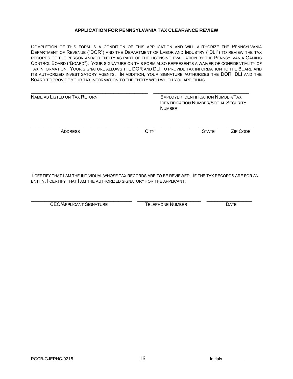#### **APPLICATION FOR PENNSYLVANIA TAX CLEARANCE REVIEW**

COMPLETION OF THIS FORM IS A CONDITION OF THIS APPLICATION AND WILL AUTHORIZE THE PENNSYLVANIA DEPARTMENT OF REVENUE ("DOR") AND THE DEPARTMENT OF LABOR AND INDUSTRY ("DLI") TO REVIEW THE TAX RECORDS OF THE PERSON AND/OR ENTITY AS PART OF THE LICENSING EVALUATION BY THE PENNSYLVANIA GAMING CONTROL BOARD ("BOARD"). YOUR SIGNATURE ON THIS FORM ALSO REPRESENTS A WAIVER OF CONFIDENTIALITY OF TAX INFORMATION. YOUR SIGNATURE ALLOWS THE DOR AND DLI TO PROVIDE TAX INFORMATION TO THE BOARD AND ITS AUTHORIZED INVESTIGATORY AGENTS. IN ADDITION, YOUR SIGNATURE AUTHORIZES THE DOR, DLI AND THE BOARD TO PROVIDE YOUR TAX INFORMATION TO THE ENTITY WITH WHICH YOU ARE FILING.

| NAME AS LISTED ON TAX RETURN | <b>NUMBER</b> | <b>EMPLOYER IDENTIFICATION NUMBER/TAX</b><br><b>IDENTIFICATION NUMBER/SOCIAL SECURITY</b> |          |  |
|------------------------------|---------------|-------------------------------------------------------------------------------------------|----------|--|
| <b>ADDRESS</b>               | CITY          | <b>STATE</b>                                                                              | ZIP CODE |  |

I CERTIFY THAT I AM THE INDIVIDUAL WHOSE TAX RECORDS ARE TO BE REVIEWED. IF THE TAX RECORDS ARE FOR AN ENTITY, I CERTIFY THAT I AM THE AUTHORIZED SIGNATORY FOR THE APPLICANT.

CEO/APPLICANT SIGNATURE TELEPHONE NUMBER DATE

\_\_\_\_\_\_\_\_\_\_\_\_\_\_\_\_\_\_\_\_\_\_\_\_\_\_\_\_\_\_\_\_\_\_\_\_\_\_ \_\_\_\_\_\_\_\_\_\_\_\_\_\_\_\_\_\_\_\_\_\_\_\_ \_\_\_\_\_\_\_\_\_\_\_\_\_\_\_\_\_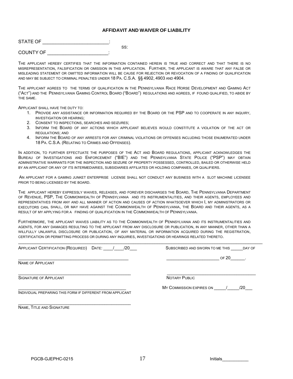#### **AFFIDAVIT AND WAIVER OF LIABILITY**

| STATE OF  |     |
|-----------|-----|
|           | SS: |
| COUNTY OF |     |

THE APPLICANT HEREBY CERTIFIES THAT THE INFORMATION CONTAINED HEREIN IS TRUE AND CORRECT AND THAT THERE IS NO MISREPRESENTATION, FALSIFICATION OR OMISSION IN THIS APPLICATION. FURTHER, THE APPLICANT IS AWARE THAT ANY FALSE OR MISLEADING STATEMENT OR OMITTED INFORMATION WILL BE CAUSE FOR REJECTION OR REVOCATION OF A FINDING OF QUALIFICATION AND MAY BE SUBJECT TO CRIMINAL PENALTIES UNDER 18 PA. C.S.A. §§ 4902, 4903 AND 4904.

THE APPLICANT AGREES TO THE TERMS OF QUALIFICATION IN THE PENNSYLVANIA RACE HORSE DEVELOPMENT AND GAMING ACT ("ACT") AND THE PENNSYLVANIA GAMING CONTROL BOARD ("BOARD") REGULATIONS AND AGREES, IF FOUND QUALIFIED, TO ABIDE BY THE SAME.

APPLICANT SHALL HAVE THE DUTY TO:

- 1. PROVIDE ANY ASSISTANCE OR INFORMATION REQUIRED BY THE BOARD OR THE PSP AND TO COOPERATE IN ANY INQUIRY, INVESTIGATION OR HEARING;
- 2. CONSENT TO INSPECTIONS, SEARCHES AND SEIZURES;
- 3. INFORM THE BOARD OF ANY ACTIONS WHICH APPLICANT BELIEVES WOULD CONSTITUTE A VIOLATION OF THE ACT OR **REGULATIONS: AND**
- 4. INFORM THE BOARD OF ANY ARRESTS FOR ANY CRIMINAL VIOLATIONS OR OFFENSES INCLUDING THOSE ENUMERATED UNDER 18 PA. C.S.A. (RELATING TO CRIMES AND OFFENSES).

IN ADDITION, TO FURTHER EFFECTUATE THE PURPOSES OF THE ACT AND BOARD REGULATIONS, APPLICANT ACKNOWLEDGES THE BUREAU OF INVESTIGATIONS AND ENFORCEMENT ("BIE") AND THE PENNSYLVANIA STATE POLICE ("PSP") MAY OBTAIN ADMINISTRATIVE WARRANTS FOR THE INSPECTION AND SEIZURE OF PROPERTY POSSESSED, CONTROLLED, BAILED OR OTHERWISE HELD BY AN APPLICANT OR ANY OF ITS INTERMEDIARIES, SUBSIDIARIES AFFILIATES OR HOLDING COMPANIES, OR QUALIFIERS.

AN APPLICANT FOR A GAMING JUNKET ENTERPRISE LICENSE SHALL NOT CONDUCT ANY BUSINESS WITH A SLOT MACHINE LICENSEE PRIOR TO BEING LICENSED BY THE BOARD.

THE APPLICANT HEREBY EXPRESSLY WAIVES, RELEASES, AND FOREVER DISCHARGES THE BOARD, THE PENNSYLVANIA DEPARTMENT OF REVENUE, PSP, THE COMMONWEALTH OF PENNSYLVANIA AND ITS INSTRUMENTALITIES, AND THEIR AGENTS, EMPLOYEES AND REPRESENTATIVES FROM ANY AND ALL MANNER OF ACTION AND CAUSES OF ACTION WHATSOEVER WHICH I, MY ADMINISTRATORS OR EXECUTORS CAN, SHALL, OR MAY HAVE AGAINST THE COMMONWEALTH OF PENNSYLVANIA, THE BOARD AND THEIR AGENTS, AS A RESULT OF MY APPLYING FOR A FINDING OF QUALIFICATION IN THE COMMONWEALTH OF PENNSYLVANIA.

FURTHERMORE, THE APPLICANT WAIVES LIABILITY AS TO THE COMMONWEALTH OF PENNSYLVANIA AND ITS INSTRUMENTALITIES AND AGENTS, FOR ANY DAMAGES RESULTING TO THE APPLICANT FROM ANY DISCLOSURE OR PUBLICATION, IN ANY MANNER, OTHER THAN A WILLFULLY UNLAWFUL DISCLOSURE OR PUBLICATION, OF ANY MATERIAL OR INFORMATION ACQUIRED DURING THE REGISTRATION, CERTIFICATION OR PERMITTING PROCESS OR DURING ANY INQUIRIES, INVESTIGATIONS OR HEARINGS RELATED THERETO.

 $\_$  , and the set of the set of the set of the set of the set of the set of the set of the set of the set of the set of the set of the set of the set of the set of the set of the set of the set of the set of the set of th

| <b>APPLICANT CERTIFICATION (REQUIRED)</b><br>/20<br>DATE:  | SUBSCRIBED AND SWORN TO ME THIS<br>DAY OF |  |  |
|------------------------------------------------------------|-------------------------------------------|--|--|
|                                                            | OF 20                                     |  |  |
| <b>NAME OF APPLICANT</b>                                   |                                           |  |  |
| <b>SIGNATURE OF APPLICANT</b>                              | NOTARY PUBLIC                             |  |  |
|                                                            | MY COMMISSION EXPIRES ON<br>/20           |  |  |
| INDIVIDUAL PREPARING THIS FORM IF DIFFERENT FROM APPLICANT |                                           |  |  |
| NAME, TITLE AND SIGNATURE                                  |                                           |  |  |
|                                                            |                                           |  |  |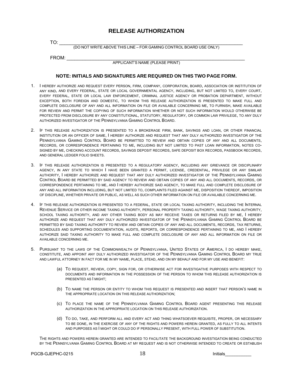## **RELEASE AUTHORIZATION**

TO: \_\_\_\_\_\_\_\_\_\_\_\_\_\_\_\_\_\_\_\_\_\_\_\_\_\_\_\_\_\_\_\_\_\_\_\_\_\_\_\_\_\_\_\_\_\_\_\_\_\_\_\_\_\_\_\_\_\_\_\_\_\_\_\_\_\_\_\_\_ (DO NOT WRITE ABOVE THIS LINE – FOR GAMING CONTROL BOARD USE ONLY)

FROM: \_\_\_\_\_\_\_\_\_\_\_\_\_\_\_\_\_\_\_\_\_\_\_\_\_\_\_\_\_\_\_\_\_\_\_\_\_\_\_\_\_\_\_\_\_\_\_\_\_\_\_\_\_\_\_\_\_\_\_\_\_\_\_\_\_\_\_

APPLICANT'S NAME (PLEASE PRINT)

#### **NOTE: INITIALS AND SIGNATURES ARE REQUIRED ON THIS TWO PAGE FORM.**

- 1. I HEREBY AUTHORIZE AND REQUEST EVERY PERSON, FIRM, COMPANY, CORPORATION, BOARD, ASSOCIATION OR INSTITUTION OF ANY KIND, AND EVERY FEDERAL, STATE OR LOCAL GOVERNMENTAL AGENCY, INCLUDING, BUT NOT LIMITED TO, EVERY COURT, EVERY FEDERAL, STATE OR LOCAL LAW ENFORCEMENT, CRIMINAL JUSTICE AGENCY OR PROBATION DEPARTMENT, WITHOUT EXCEPTION, BOTH FOREIGN AND DOMESTIC, TO WHOM THIS RELEASE AUTHORIZATION IS PRESENTED TO MAKE FULL AND COMPLETE DISCLOSURE OF ANY AND ALL INFORMATION ON FILE OR AVAILABLE CONCERNING ME, TO FURNISH, MAKE AVAILABLE FOR REVIEW AND PERMIT THE COPYING OF SUCH INFORMATION WHETHER OR NOT SUCH INFORMATION WOULD OTHERWISE BE PROTECTED FROM DISCLOSURE BY ANY CONSTITUTIONAL, STATUTORY, REGULATORY, OR COMMON LAW PRIVILEGE, TO ANY DULY AUTHORIZED INVESTIGATOR OF THE PENNSYLVANIA GAMING CONTROL BOARD.
- 2. IF THIS RELEASE AUTHORIZATION IS PRESENTED TO A BROKERAGE FIRM, BANK, SAVINGS AND LOAN, OR OTHER FINANCIAL INSTITUTION OR AN OFFICER OF SAME, I HEREBY AUTHORIZE AND REQUEST THAT ANY DULY AUTHORIZED INVESTIGATOR OF THE PENNSYLVANIA GAMING CONTROL BOARD BE PERMITTED TO REVIEW AND OBTAIN COPIES OF ANY AND ALL DOCUMENTS, RECORDS, OR CORRESPONDENCE PERTAINING TO ME, INCLUDING BUT NOT LIMITED TO PAST LOAN INFORMATION, NOTES CO-SIGNED BY ME, CHECKING ACCOUNT RECORDS, SAVINGS DEPOSIT RECORDS, SAFE DEPOSIT BOX RECORDS, PASSBOOK RECORDS, AND GENERAL LEDGER FOLIO SHEETS.
- 3. IF THIS RELEASE AUTHORIZATION IS PRESENTED TO A REGULATORY AGENCY, INCLUDING ANY GRIEVANCE OR DISCIPLINARY AGENCY, IN ANY STATE TO WHICH I HAVE BEEN GRANTED A PERMIT, LICENSE, CREDENTIAL, PRIVILEGE OR ANY SIMILAR AUTHORITY, I HEREBY AUTHORIZE AND REQUEST THAT ANY DULY AUTHORIZED INVESTIGATOR OF THE PENNSYLVANIA GAMING CONTROL BOARD BE PERMITTED BY SAID AGENCY TO REVIEW AND OBTAIN COPIES OF ANY AND ALL DOCUMENTS, RECORDS, OR CORRESPONDENCE PERTAINING TO ME, AND I HEREBY AUTHORIZE SAID AGENCY, TO MAKE FULL AND COMPLETE DISCLOSURE OF ANY AND ALL INFORMATION INCLUDING, BUT NOT LIMITED TO, COMPLAINTS FILED AGAINST ME, DISPOSITION THEREOF, IMPOSITION OF DISCIPLINE, WHETHER PRIVATE OR PUBLIC, AS WELL AS SUCH OTHER INFORMATION ON FILE OR AVAILABLE CONCERNING ME.
- 4. IF THIS RELEASE AUTHORIZATION IS PRESENTED TO A FEDERAL, STATE OR LOCAL TAXING AUTHORITY, INCLUDING THE INTERNAL REVENUE SERVICE OR OTHER INCOME TAXING AUTHORITY, PERSONAL PROPERTY TAXING AUTHORITY, WAGE TAXING AUTHORITY, SCHOOL TAXING AUTHORITY, AND ANY OTHER TAXING BODY AS MAY RECEIVE TAXES OR RETURNS FILED BY ME, I HEREBY AUTHORIZE AND REQUEST THAT ANY DULY AUTHORIZED INVESTIGATOR OF THE PENNSYLVANIA GAMING CONTROL BOARD BE PERMITTED BY SAID TAXING AUTHORITY TO REVIEW AND OBTAIN COPIES OF ANY AND ALL DOCUMENTS, RECORDS, TAX RETURNS, SCHEDULES AND SUPPORTING DOCUMENTATION, AUDITS, REPORTS, OR CORRESPONDENCE PERTAINING TO ME, AND I HEREBY AUTHORIZE SAID TAXING AUTHORITY TO MAKE FULL AND COMPLETE DISCLOSURE OF ANY AND ALL INFORMATION ON FILE OR AVAILABLE CONCERNING ME.
- 5. PURSUANT TO THE LAWS OF THE COMMONWEALTH OF PENNSYLVANIA, UNITED STATES OF AMERICA, I DO HEREBY MAKE, CONSTITUTE, AND APPOINT ANY DULY AUTHORIZED INVESTIGATOR OF THE PENNSYLVANIA GAMING CONTROL BOARD MY TRUE AND LAWFUL ATTORNEY IN FACT FOR ME IN MY NAME, PLACE, STEAD, AND ON MY BEHALF AND FOR MY USE AND BENEFIT:
	- (a) TO REQUEST, REVIEW, COPY, SIGN FOR, OR OTHERWISE ACT FOR INVESTIGATIVE PURPOSES WITH RESPECT TO DOCUMENTS AND INFORMATION IN THE POSSESSION OF THE PERSON TO WHOM THIS RELEASE AUTHORIZATION IS PRESENTED AS I MIGHT;
	- (b) TO NAME THE PERSON OR ENTITY TO WHOM THIS REQUEST IS PRESENTED AND INSERT THAT PERSON'S NAME IN THE APPROPRIATE LOCATION ON THIS RELEASE AUTHORIZATION;
	- (c) TO PLACE THE NAME OF THE PENNSYLVANIA GAMING CONTROL BOARD AGENT PRESENTING THIS RELEASE AUTHORIZATION IN THE APPROPRIATE LOCATION ON THIS RELEASE AUTHORIZATION.
	- (d) TO DO, TAKE, AND PERFORM ALL AND EVERY ACT AND THING WHATSOEVER REQUISITE, PROPER, OR NECESSARY TO BE DONE, IN THE EXERCISE OF ANY OF THE RIGHTS AND POWERS HEREIN GRANTED, AS FULLY TO ALL INTENTS AND PURPOSES AS I MIGHT OR COULD DO IF PERSONALLY PRESENT, WITH FULL POWER OF SUBSTITUTION.

THE RIGHTS AND POWERS HEREIN GRANTED ARE INTENDED TO FACILITATE THE BACKGROUND INVESTIGATION BEING CONDUCTED BY THE PENNSYLVANIA GAMING CONTROL BOARD AT MY REQUEST AND IS NOT OTHERWISE INTENDED TO CREATE OR ESTABLISH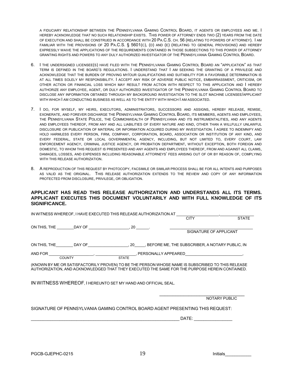A FIDUCIARY RELATIONSHIP BETWEEN THE PENNSYLVANIA GAMING CONTROL BOARD, IT AGENTS OR EMPLOYEES AND ME. I HEREBY ACKNOWLEDGE THAT NO SUCH RELATIONSHIP EXISTS. THIS POWER OF ATTORNEY ENDS TWO (2) YEARS FROM THE DATE OF EXECUTION AND SHALL BE CONSTRUED IN ACCORDANCE WITH 20 PA.C.S. CH. 56 (RELATING TO POWERS OF ATTORNEY). I AM FAMILIAR WITH THE PROVISIONS OF 20 PA.C.S. § 5601(C), (D) AND (E) (RELATING TO GENERAL PROVISIONS) AND HEREBY EXPRESSLY WAIVE THE APPLICATIONS OF THE REQUIREMENTS CONTAINED IN THOSE SUBSECTIONS TO THIS POWER OF ATTORNEY GRANTING RIGHTS AND POWERS TO ANY DULY AUTHORIZED INVESTIGATOR OF THE PENNSYLVANIA GAMING CONTROL BOARD.

- 6. I THE UNDERSIGNED LICENSEE(S) HAVE FILED WITH THE PENNSYLVANIA GAMING CONTROL BOARD AN "APPLICATION" AS THAT TERM IS DEFINED IN THE BOARD'S REGULATIONS. I UNDERSTAND THAT I AM SEEKING THE GRANTING OF A PRIVILEGE AND ACKNOWLEDGE THAT THE BURDEN OF PROVING MY/OUR QUALIFICATIONS AND SUITABILITY FOR A FAVORABLE DETERMINATION IS AT ALL TIMES SOLELY MY RESPONSIBILITY. I ACCEPT ANY RISK OF ADVERSE PUBLIC NOTICE, EMBARRASSMENT, CRITICISM, OR OTHER ACTION OR FINANCIAL LOSS WHICH MAY RESULT FROM ACTION WITH RESPECT TO THIS APPLICATION AND I HEREBY AUTHORIZE ANY EMPLOYEE, AGENT, OR DULY AUTHORIZED INVESTIGATOR OF THE PENNSYLVANIA GAMING CONTROL BOARD TO DISCLOSE ANY INFORMATION OBTAINED THROUGH MY BACKGROUND INVESTIGATION TO THE SLOT MACHINE LICENSEE/APPLICANT WITH WHICH I AM CONDUCTING BUSINESS AS WELL AS TO THE ENTITY WITH WHICH I AM ASSOCIATED.
- 7. I DO, FOR MYSELF, MY HEIRS, EXECUTORS, ADMINISTRATORS, SUCCESSORS AND ASSIGNS, HEREBY RELEASE, REMISE, EXONERATE, AND FOREVER DISCHARGE THE PENNSYLVANIA GAMING CONTROL BOARD, ITS MEMBERS, AGENTS AND EMPLOYEES, THE PENNSYLVANIA STATE POLICE, THE COMMONWEALTH OF PENNSYLVANIA AND ITS INSTRUMENTALITIES, AND ANY AGENTS AND EMPLOYEES THEREOF, FROM ANY AND ALL LIABILITIES OF EVERY NATURE AND KIND, OTHER THAN A WILLFULLY UNLAWFUL DISCLOSURE OR PUBLICATION OF MATERIAL OR INFORMATION ACQUIRED DURING MY INVESTIGATION. I AGREE TO INDEMNIFY AND HOLD HARMLESS EVERY PERSON, FIRM, COMPANY, CORPORATION, BOARD, ASSOCIATION OR INSTITUTION OF ANY KIND, AND EVERY FEDERAL, STATE OR LOCAL GOVERNMENTAL AGENCY, INCLUDING, BUT NOT LIMITED TO, EVERY COURT, LAW ENFORCEMENT AGENCY, CRIMINAL JUSTICE AGENCY, OR PROBATION DEPARTMENT, WITHOUT EXCEPTION, BOTH FOREIGN AND DOMESTIC, TO WHOM THIS REQUEST IS PRESENTED AND ANY AGENTS AND EMPLOYEES THEREOF, FROM AND AGAINST ALL CLAIMS, DAMAGES, LOSSES, AND EXPENSES INCLUDING REASONABLE ATTORNEYS' FEES ARISING OUT OF OR BY REASON OF, COMPLYING WITH THIS RELEASE AUTHORIZATION.
- 8. A REPRODUCTION OF THIS REQUEST BY PHOTOCOPY, FACSIMILE OR SIMILAR PROCESS SHALL BE FOR ALL INTENTS AND PURPOSES AS VALID AS THE ORIGINAL. THIS RELEASE AUTHORIZATION EXTENDS TO THE REVIEW AND COPY OF ANY INFORMATION PROTECTED FROM DISCLOSURE, PRIVILEGE, OR OBLIGATION.

#### **APPLICANT HAS READ THIS RELEASE AUTHORIZATION AND UNDERSTANDS ALL ITS TERMS. APPLICANT EXECUTES THIS DOCUMENT VOLUNTARILY AND WITH FULL KNOWLEDGE OF ITS SIGNIFICANCE.**

| IN WITNESS WHEREOF, I HAVE EXECUTED THIS RELEASE AUTHORIZATION AT                                |                                                                                                                |               |
|--------------------------------------------------------------------------------------------------|----------------------------------------------------------------------------------------------------------------|---------------|
|                                                                                                  | <b>CITY</b>                                                                                                    | <b>STATE</b>  |
|                                                                                                  |                                                                                                                |               |
|                                                                                                  |                                                                                                                |               |
|                                                                                                  | SIGNATURE OF APPLICANT                                                                                         |               |
|                                                                                                  |                                                                                                                |               |
| ON THIS, THE DAY OF 20, BEFORE ME, THE SUBSCRIBER, A NOTARY PUBLIC, IN                           |                                                                                                                |               |
|                                                                                                  |                                                                                                                |               |
| AND FOR                                                                                          | COUNTY COUNTY COUNTY COUNTY COUNTY COUNTY COUNTY COUNTY COUNTY COUNTY COUNTY COUNTY COUNTY COUNTY COUNTY COUNT |               |
|                                                                                                  |                                                                                                                |               |
| (KNOWN BY ME OR SATISFACTORILY PROVEN) TO BE THE PERSON WHOSE NAME IS SUBSCRIBED TO THIS RELEASE |                                                                                                                |               |
| AUTHORIZATION, AND ACKNOWLEDGED THAT THEY EXECUTED THE SAME FOR THE PURPOSE HEREIN CONTAINED.    |                                                                                                                |               |
|                                                                                                  |                                                                                                                |               |
| IN WITNESS WHEREOF, I HEREUNTO SET MY HAND AND OFFICIAL SEAL.                                    |                                                                                                                |               |
|                                                                                                  |                                                                                                                |               |
|                                                                                                  |                                                                                                                |               |
|                                                                                                  |                                                                                                                | NOTARY PUBLIC |
|                                                                                                  |                                                                                                                |               |
| SIGNATURE OF PENNSYLVANIA GAMING CONTROL BOARD AGENT PRESENTING THIS REQUEST:                    |                                                                                                                |               |
|                                                                                                  |                                                                                                                |               |
|                                                                                                  | DATE:                                                                                                          |               |
|                                                                                                  |                                                                                                                |               |
|                                                                                                  |                                                                                                                |               |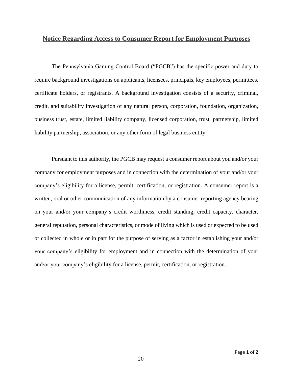## **Notice Regarding Access to Consumer Report for Employment Purposes**

The Pennsylvania Gaming Control Board ("PGCB") has the specific power and duty to require background investigations on applicants, licensees, principals, key employees, permittees, certificate holders, or registrants. A background investigation consists of a security, criminal, credit, and suitability investigation of any natural person, corporation, foundation, organization, business trust, estate, limited liability company, licensed corporation, trust, partnership, limited liability partnership, association, or any other form of legal business entity.

Pursuant to this authority, the PGCB may request a consumer report about you and/or your company for employment purposes and in connection with the determination of your and/or your company's eligibility for a license, permit, certification, or registration. A consumer report is a written, oral or other communication of any information by a consumer reporting agency bearing on your and/or your company's credit worthiness, credit standing, credit capacity, character, general reputation, personal characteristics, or mode of living which is used or expected to be used or collected in whole or in part for the purpose of serving as a factor in establishing your and/or your company's eligibility for employment and in connection with the determination of your and/or your company's eligibility for a license, permit, certification, or registration.